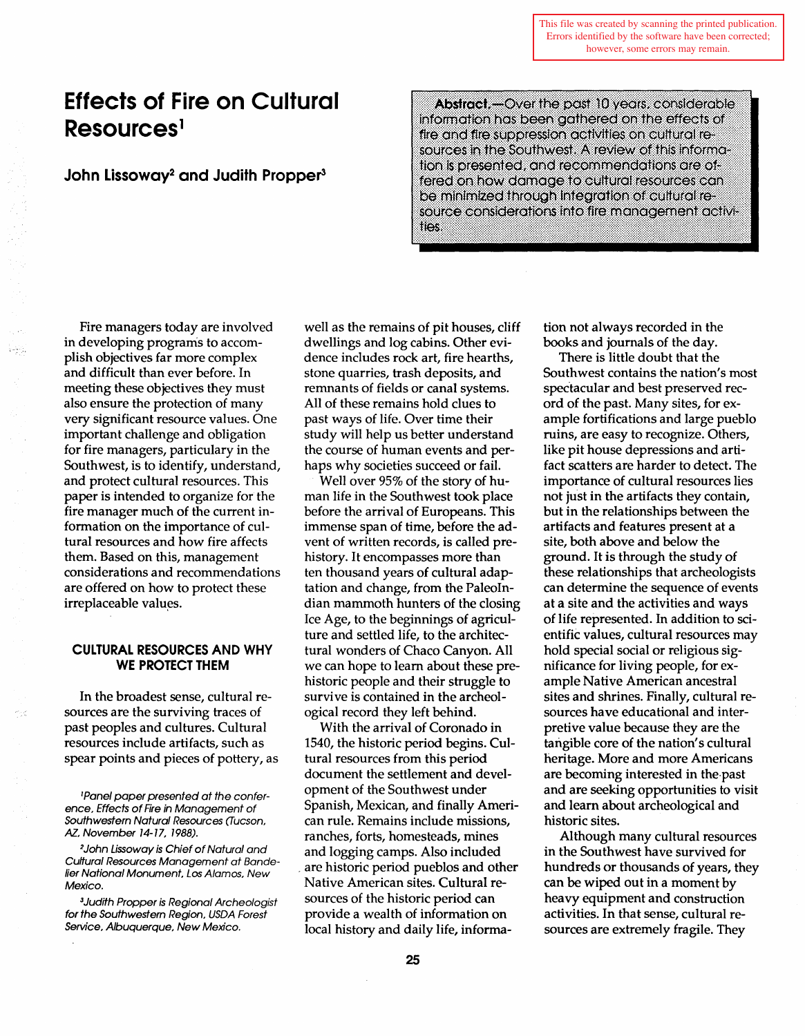This file was created by scanning the printed publication. Errors identified by the software have been corrected; however, some errors may remain.

# **Effects of Fire on Cultural Resources<sup>1</sup>**

# **John Lissoway<sup>2</sup> and Judith Propper<sup>3</sup>**

Abstract.-Over the past 10 years, considerable information has been gathered on the effects of fire and fire suppression activities on cultural resources in the Southwest. A review of this information is presented, and recommendations are offered on how damage to cultural resources can be minimized through integration of cultural resource considerations into fire management activities.

Fire managers today are involved in developing programs to accomplish objectives far more complex and difficult than ever before. In meeting these objectives they must also ensure the protection of many very significant resource values. One important challenge and obligation for fire managers, particulary in the Southwest, is to identify, understand, and protect cultural resources. This paper is intended to organize for the fire manager much of the current information on the importance of cultural resources and how fire affects them. Based on this, management considerations and recommendations are offered on how to protect these irreplaceable values.

## **CULTURAL RESOURCES AND WHY WE PROTECT THEM**

In the broadest sense, cultural resources are the surviving traces of past peoples and cultures. Cultural resources include artifacts, such as spear points and pieces of pottery, as

'Panel paper presented at the conference, Effects of Fire in Management of Southwestern Natural Resources (Tucson. AZ, November 14-17, 1988).

*2* John Lissoway is Chief of Natural and Cuffural Resources Management at Bandelier National Monument, Los Alamos, New Mexico.

*<sup>3</sup>*Judith Propper is Regional Archeologist for the Southwestern Region, USDA Forest Service, Albuquerque, New Mexico.

well as the remains of pit houses, cliff dwellings and log cabins. Other evidence includes rock art, fire hearths, stone quarries, trash deposits, and remnants of fields or canal systems. All of these remains hold clues to past ways of life. Over time their study will help us better understand the course of human events and perhaps why societies succeed or fail.

Well over 95% of the story of human life in the Southwest took place before the arrival of Europeans. This immense span of time, before the advent of written records, is called prehistory. It encompasses more than ten thousand years of cultural adaptation and change, from the PaleoIndian mammoth hunters of the closing Ice Age, to the beginnings of agriculture and settled life, to the architectural wonders of Chaco Canyon. All we can hope to learn about these prehistoric people and their struggle to survive is contained in the archeological record they left behind.

With the arrival of Coronado in 1540, the historic period begins. Cultural resources from this period document the settlement and development of the Southwest under Spanish, Mexican, and finally American rule. Remains include missions, ranches, forts, homesteads, mines and logging camps. Also included are historic period pueblos and other Native American sites. Cultural resources of the historic period can provide a wealth of information on local history and daily life, information not always recorded in the books and journals of the day.

There is little doubt that the Southwest contains the nation's most spectacular and best preserved record of the past. Many sites, for example fortifications and large pueblo ruins, are easy to recognize. Others, like pit house depressions and artifact scatters are harder to detect. The importance of cultural resources lies not just in the artifacts they contain, but in the relationships between the artifacts and features present at a site, both above and below the ground. It is through the study of these relationships that archeologists can determine the sequence of events at a site and the activities and ways of life represented. In addition to scientific values, cultural resources may hold special social or religious significance for living people, for example Native American ancestral sites and shrines. Finally, cultural resources have educational and interpretive value because they are the tangible core of the nation's cultural heritage. More and more Americans are becoming interested in the-past and are seeking opportunities to visit and learn about archeological and historic sites.

Although many cultural resources in the Southwest have survived for hundreds or thousands of years, they can be wiped out in a moment by heavy equipment and construction activities. In that sense, cultural resources are extremely fragile. They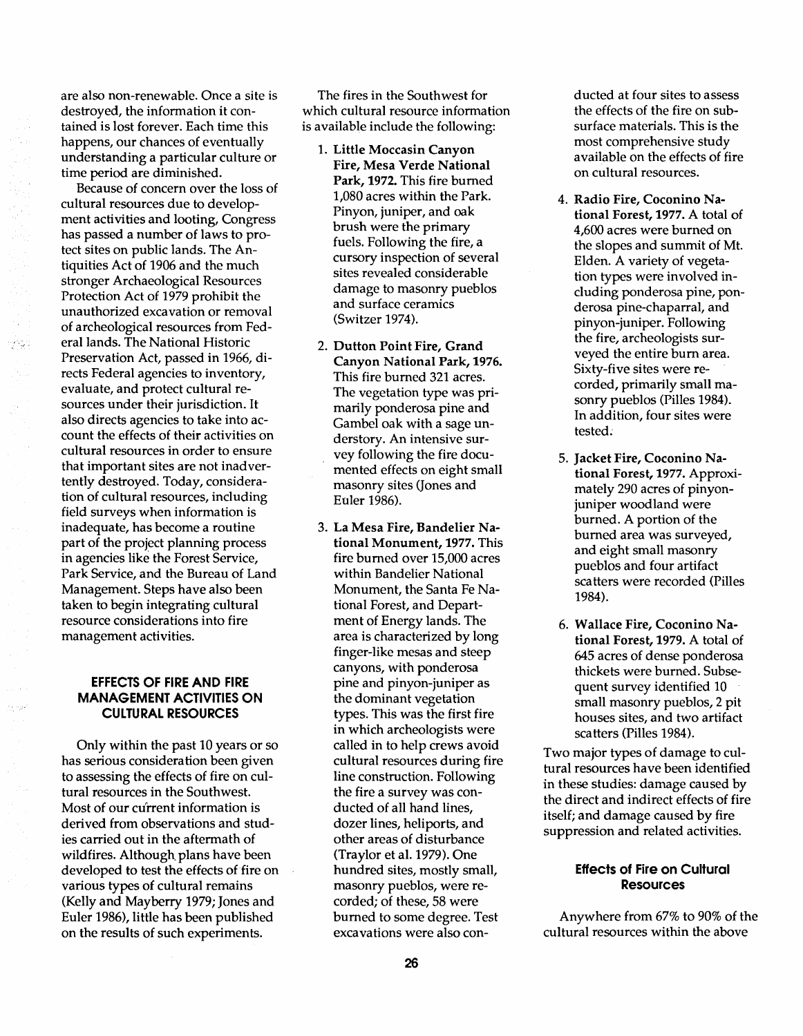are also non-renewable. Once a site is destroyed, the information it contained is lost forever. Each time this happens, our chances of eventually understanding a particular culture or time period are diminished.

Because of concern over the loss of cultural resources due to development activities and looting, Congress has passed a number of laws to protect sites on public lands. The Antiquities Act of 1906 and the much stronger Archaeological Resources Protection Act of 1979 prohibit the unauthorized excavation or removal of archeological resources from Federal lands. The National Historic Preservation Act, passed in 1966, directs Federal agencies to inventory, evaluate, and protect cultural resources under their jurisdiction. It also directs agencies to take into account the effects of their activities on cultural resources in order to ensure that important sites are not inadvertently destroyed. Today, consideration of cultural resources, including field surveys when information is inadequate, has become a routine part of the project planning process in agencies like the Forest Service, Park Service, and the Bureau of Land Management. Steps have also been taken to begin integrating cultural resource considerations into fire management activities.

## EFFECTS OF FIRE AND FIRE MANAGEMENT ACTIVITIES ON CULTURAL RESOURCES

Only within the past 10 years or so has serious consideration been given to assessing the effects of fire on cultural resources in the Southwest. Most of our current information is derived from observations and studies carried out in the aftermath of wildfires. Although plans have been developed to test the effects of fire on various types of cultural remains (Kelly and Mayberry 1979; Jones and Euler 1986), little has been published on the results of such experiments.

The fires in the Southwest for which cultural resource information is available include the following:

- 1. Little Moccasin Canyon Fire, Mesa Verde National Park, 1972. This fire burned 1,080 acres within the Park. Pinyon, juniper, and oak brush were the primary fuels. Following the fire, a cursory inspection of several sites revealed considerable damage to masonry pueblos and surface ceramics (Switzer 1974).
- 2. Dutton Point Fire, Grand Canyon National Park, 1976. This fire burned 321 acres. The vegetation type was primarily ponderosa pine and Gambel oak with a sage understory. An intensive survey following the fire documented effects on eight small masonry sites (Jones and Euler 1986).
- 3. La Mesa Fire, Bandelier National Monument, 1977. This fire burned over 15,000 acres within Bandelier National Monument, the Santa Fe National Forest, and Department of Energy lands. The area is characterized by long finger-like mesas and steep canyons, with ponderosa pine and pinyon-juniper as the dominant vegetation types. This was the first fire in which archeologists were called in to help crews avoid cultural resources during fire line construction. Following the fire a survey was conducted of all hand lines, dozer lines, heliports, and other areas of disturbance (Traylor et al. 1979). One hundred sites, mostly small, masonry pueblos, were recorded; of these, 58 were burned to some degree. Test excavations were also con-

ducted at four sites to assess the effects of the fire on subsurface materials. This is the most comprehensive study available on the effects of fire on cultural resources.

- 4. Radio Fire, Coconino National Forest, 1977. A total of 4,600 acres were burned on the slopes and summit of Mt. Elden. A variety of vegetation types were involved including ponderosa pine, ponderosa pine-chaparral, and pinyon-juniper. Following the fire, archeologists surveyed the entire bum area. Sixty-five sites were recorded, primarily small masonry pueblos (Pilles 1984). In addition, four sites were tested:
- 5. Jacket Fire, Coconino National Forest, 1977. Approximately 290 acres of pinyonjuniper woodland were burned. A portion of the burned area was surveyed, and eight small masonry pueblos and four artifact scatters were recorded (Pilles 1984).
- 6. Wallace Fire, Coconino National Forest, 1979. A total of 645 acres of dense ponderosa thickets were burned. Subsequent survey identified 10 small masonry pueblos, 2 pit houses sites, and two artifact scatters (Pilles 1984).

Two major types of damage to cultural resources have been identified in these studies: damage caused by the direct and indirect effects of fire itself; and damage caused by fire suppression and related activities.

## Effects of Fire on Cultural **Resources**

Anywhere from 67% to 90% of the cultural resources within the above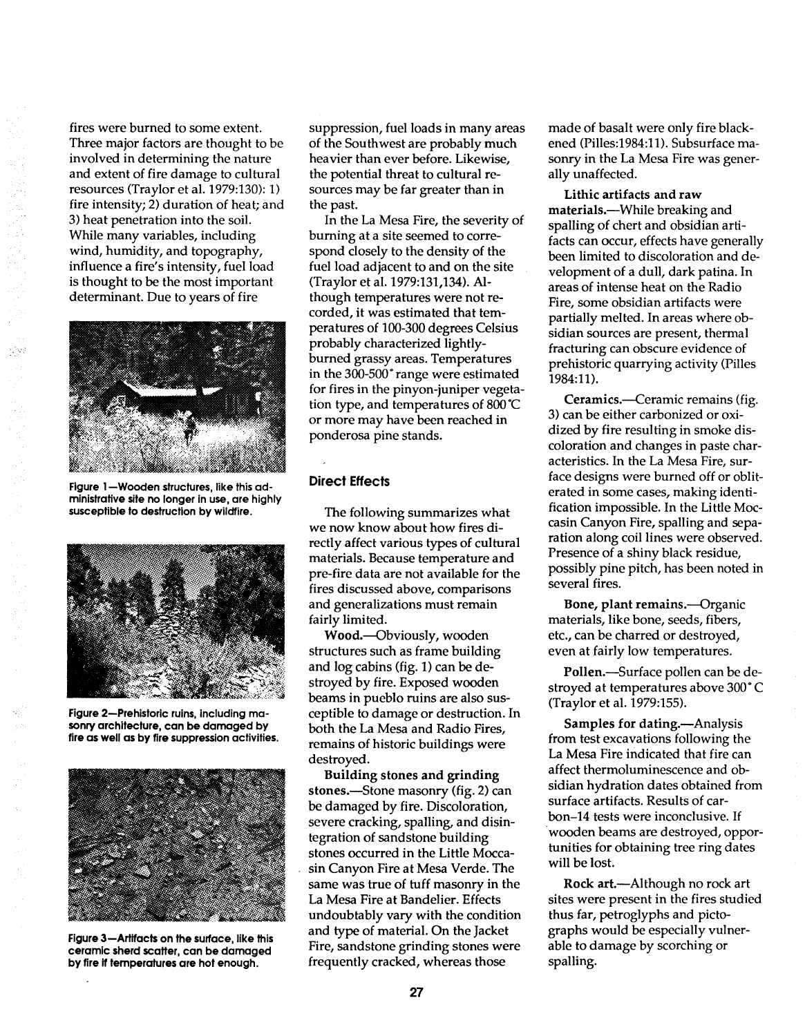fires were burned to some extent. Three major factors are thought to be involved in determining the nature and extent of fire damage to cultural resources (Traylor et al. 1979:130): 1) fire intensity; 2) duration of heat; and 3) heat penetration into the soil. While many variables, including wind, humidity, and topography, influence a fire's intensity, fuel load is thought to be the most important determinant. Due to years of fire



Figure 1-Wooden structures, like this administrative site no longer in use, are highly susceptible to destruction by wildfire.



Figure 2-Prehistoric ruins, including masonry architecture, can be damaged by fire as well as by fire suppression activities.



Figure 3-Artifacts on the surface, like this ceramic sherd scatter, can be damaged by fire if temperatures are hot enough.

suppression, fuel loads in many areas of the Southwest are probably much heavier than ever before. Likewise, the potential threat to cultural resources may be far greater than in the past.

In the La Mesa Fire, the severity of burning at a site seemed to correspond closely to the density of the fuel load adjacent to and on the site (Traylor et al. 1979:131,134). Although temperatures were not recorded, it was estimated that temperatures of 100-300 degrees Celsius probably characterized lightlyburned grassy areas. Temperatures in the 300-500° range were estimated for fires in the pinyon-juniper vegetation type, and temperatures of 800°C or more may have been reached in ponderosa pine stands.

## Direct Effects

The following summarizes what we now know about how fires directly affect various types of cultural materials. Because temperature and pre-fire data are not available for the fires discussed above, comparisons and generalizations must remain fairly limited.

Wood.-Obviously, wooden structures such as frame building and log cabins (fig. 1) can be destroyed by fire. Exposed wooden beams in pueblo ruins are also susceptible to damage or destruction. In both the La Mesa and Radio Fires, remains of historic buildings were destroyed.

Building stones and grinding stones.—Stone masonry (fig. 2) can be damaged by fire. Discoloration, severe cracking, spalling, and disintegration of sandstone building stones occurred in the Little Moccasin Canyon Fire at Mesa Verde. The same was true of tuff masonry in the La Mesa Fire at Bandelier. Effects undoubtably vary with the condition and type of material. On the Jacket Fire, sandstone grinding stones were frequently cracked, whereas those

made of basalt were only fire blackened (Pilles:1984:11). Subsurface masonry in the La Mesa Fire was generally unaffected.

Lithic artifacts and raw materials.--While breaking and spalling of chert and obsidian artifacts can occur, effects have generally been limited to discoloration and development of a dull, dark patina. In areas of intense heat on the Radio Fire, some obsidian artifacts were partially melted. In areas where obsidian sources are present, thermal fracturing can obscure evidence of prehistoric quarrying activity (Pilles 1984:11).

Ceramics.-Ceramic remains (fig. 3) can be either carbonized or oxidized by fire resulting in smoke discoloration and changes in paste characteristics. In the La Mesa Fire, surface designs were burned off or obliterated in some cases, making identification impossible. In the Little Moccasin Canyon Fire, spalling and separation along coil lines were observed. Presence of a shiny black residue, possibly pine pitch, has been noted in several fires.

Bone, plant remains.-Organic materials, like bone, seeds, fibers, etc., can be charred or destroyed, even at fairly low temperatures.

Pollen.—Surface pollen can be destroyed at temperatures above 300° C (Traylor et al. 1979:155).

Samples for dating.-Analysis from test excavations following the La Mesa Fire indicated that fire can affect thermoluminescence and obsidian hydration dates obtained from surface artifacts. Results of carbon-14 tests were inconclusive. If 'wooden beams are destroyed, opportunities for obtaining tree ring dates will be lost.

Rock art.—Although no rock art sites were present in the fires studied thus far, petroglyphs and pictographs would be especially vulnerable to damage by scorching or spalling.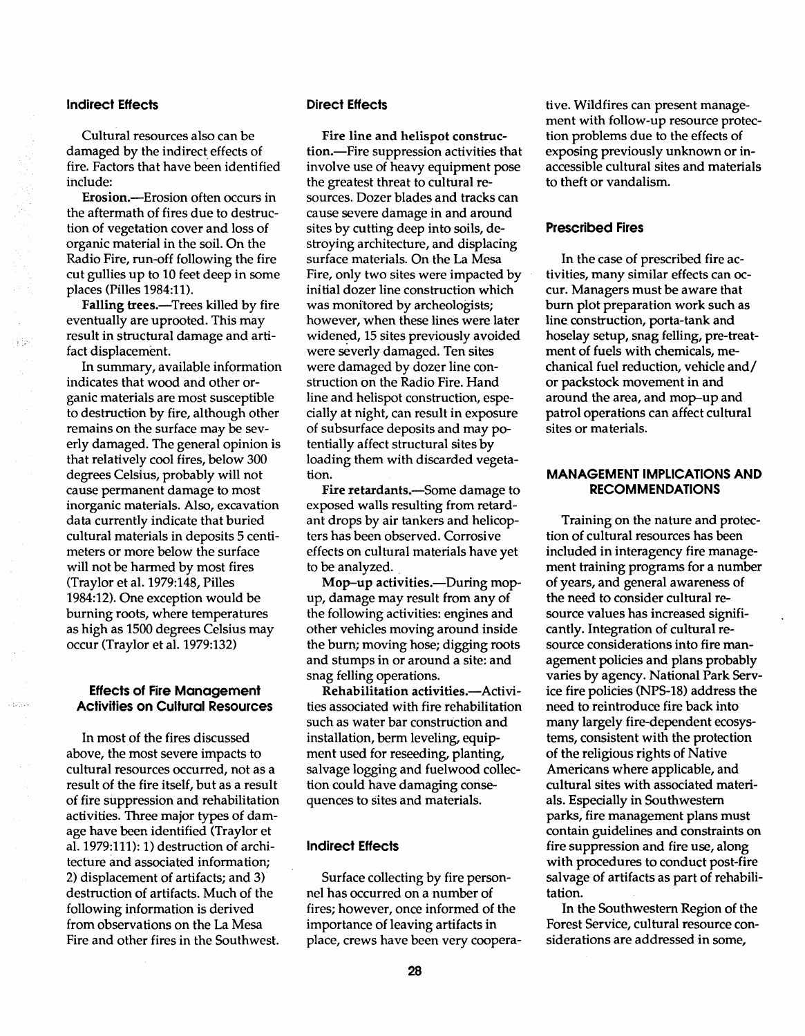## Indirect Effects

Cultural resources also can be damaged by the indirect effects of fire. Factors that have been identified include:

Erosion.-Erosion often occurs in the aftermath of fires due to destruction of vegetation cover and loss of organic material in the soil. On the Radio Fire, run-off following the fire cut gullies up to 10 feet deep in some places (Pilles 1984:11).

Falling trees.-Trees killed by fire eventually are uprooted. This may result in structural damage and artifact displacement.

In summary, available information indicates that wood and other organic materials are most susceptible to destruction by fire, although other remains on the surface may be severly damaged. The general opinion is that relatively cool fires, below 300 degrees Celsius, probably will not cause permanent damage to most inorganic materials. Also, excavation data currently indicate that buried cultural materials in deposits 5 centimeters or more below the surface will not be harmed by most fires (Traylor et al. 1979:148, Pilles 1984:12). One exception would be burning roots, where temperatures as high as 1500 degrees Celsius may occur (Traylor et al. 1979:132)

#### Effects of Fire Management Activities on Cultural Resources

In most of the fires discussed above, the most severe impacts to cultural resources occurred, not as a result of the fire itself, but as a result of fire suppression and rehabilitation activities. Three major types of damage have been identified (Traylor et al. 1979:111): 1) destruction of architecture and associated information; 2) displacement of artifacts; and 3) destruction of artifacts. Much of the following information is derived from observations on the La Mesa Fire and other fires in the Southwest.

## Direct Effects

Fire line and helispot construction.-Fire suppression activities that involve use of heavy equipment pose the greatest threat to cultural resources. Dozer blades and tracks can cause severe damage in and around sites by cutting deep into soils, destroying architecture, and displacing surface materials. On the La Mesa Fire, only two sites were impacted by initial dozer line construction which was monitored by archeologists; however, when these lines were later widened, 15 sites previously avoided were severly damaged. Ten sites were damaged by dozer line construction on the Radio Fire. Hand line and helispot construction, especially at night, can result in exposure of subsurface deposits and may potentially affect structural sites by loading them with discarded vegetation.

Fire retardants.—Some damage to exposed walls resulting from retardant drops by air tankers and helicopters has been observed. Corrosive effects on cultural materials have yet to be analyzed.

Mop-up activities.-During mopup, damage may result from any of the following activities: engines and other vehicles moving around inside the burn; moving hose; digging roots and stumps in or around a site: and snag felling operations.

Rehabilitation activities.-- Activities associated with fire rehabilitation such as water bar construction and installation, berm leveling, equipment used for reseeding, planting, salvage logging and fuelwood collection could have damaging consequences to sites and materials.

## Indirect Effects

Surface collecting by fire personnel has occurred on a number of fires; however, once informed of the importance of leaving artifacts in place, crews have been very cooperative. Wildfires can present management with follow-up resource protection problems due to the effects of exposing previously unknown or inaccessible cultural sites and materials to theft or vandalism.

#### Prescribed Fires

In the case of prescribed fire activities, many similar effects can occur. Managers must be aware that burn plot preparation work such as line construction, porta-tank and hoselay setup, snag felling, pre-treatment of fuels with chemicals, mechanical fuel reduction, vehicle and/ or packstock movement in and around the area, and mop-up and patrol operations can affect cultural sites or materials.

## MANAGEMENT IMPLICATIONS AND RECOMMENDATIONS

Training on the nature and protection of cultural resources has been included in interagency fire management training programs for a number of years, and general awareness of the need to consider cultural resource values has increased significantly. Integration of cultural resource considerations into fire management policies and plans probably varies by agency. National Park Service fire policies (NPS-18) address the need to reintroduce fire back into many largely fire-dependent ecosystems, consistent with the protection of the religious rights of Native Americans where applicable, and cultural sites with associated materials. Especially in Southwestern parks, fire management plans must contain guidelines and constraints on fire suppression and fire use, along with procedures to conduct post-fire salvage of artifacts as part of rehabilitation.

In the Southwestern Region of the Forest Service, cultural resource considerations are addressed in some,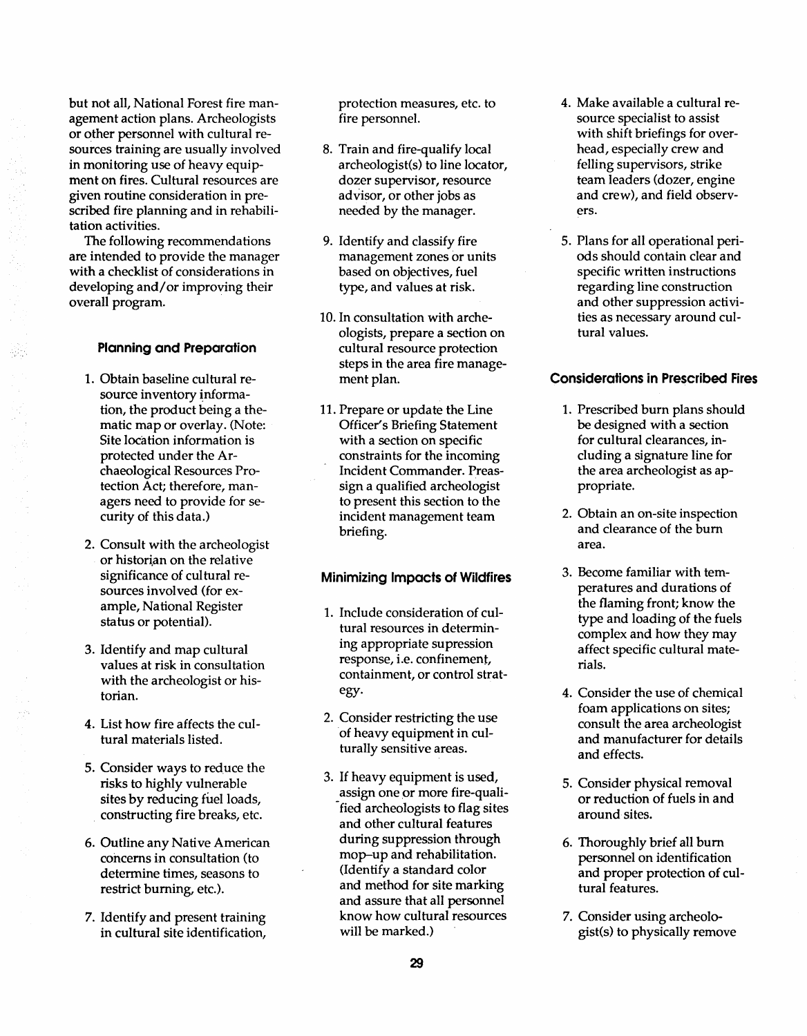but not all, National Forest fire management action plans. Archeologists or other personnel with cultural resources training are usually involved in monitoring use of heavy equipment on fires. Cultural resources are given routine consideration in prescribed fire planning and in rehabilitation activities.

The following recommendations are intended to provide the manager with a checklist of considerations in developing and/or improving their overall program.

#### **Planning and Preparation**

- 1. Obtain baseline cultural resource inventory information, the product being a thematic map or overlay. (Note: Site location information is protected under the Archaeological Resources Protection Act; therefore, managers need to provide for security of this data.)
- 2. Consult with the archeologist or historian on the relative significance of cultural resources involved (for example, National Register status or potential).
- 3. Identify and map cultural values at risk in consultation with the archeologist or historian.
- 4. List how fire affects the cultural materials listed.
- 5. Consider ways to reduce the risks to highly vulnerable sites by reducing fuel loads, . constructing fire breaks, etc.
- 6. Outline any Native American concerns in consultation (to determine times, seasons to restrict burning, etc.).
- 7. Identify and present training in cultural site identification,

protection measures, etc. to fire personnel.

- 8. Train and fire-qualify local archeologist(s) to line locator, dozer supervisor, resource advisor, or other jobs as needed by the manager.
- 9. Identify and classify fire management zones or units based on objectives, fuel type, and values at risk.
- 10. In consultation with archeologists, prepare a section on cultural resource protection steps in the area fire management plan.
- 11. Prepare or update the Line Officer's Briefing Statement with a section on specific constraints for the incoming Incident Commander. Preassign a qualified archeologist to present this section to the incident management team briefing.

## **Minimizing Impacts of Wildfires**

- 1. Include consideration of cultural resources in determining appropriate supression response, i.e. confinement, containment, or control strategy.
- 2. Consider restricting the use of heavy equipment in culturally sensitive areas.
- 3. If heavy equipment is used, assign one or more fire-qualified archeologists to flag sites and other cultural features during suppression through mop-up and rehabilitation. (Identify a standard color and method for site marking and assure that all personnel know how cultural resources will be marked.)
- 4. Make available a cultural resource specialist to assist with shift briefings for overhead, especially crew and felling supervisors, strike team leaders (dozer, engine and crew), and field observers.
- 5. Plans for all operational periods should contain clear and specific written instructions regarding line construction and other suppression activities as necessary around cultural values.

## **Considerations in Prescribed Fires**

- 1. Prescribed burn plans should be designed with a section for cultural clearances, including a signature line for the area archeologist as appropriate.
- 2. Obtain an on-site inspection and clearance of the bum area.
- 3. Become familiar with temperatures and durations of the flaming front; know the type and loading of the fuels complex and how they may affect specific cultural materials.
- 4. Consider the use of chemical foam applications on sites; consult the area archeologist and manufacturer for details and effects.
- 5. Consider physical removal or reduction of fuels in and around sites.
- 6. Thoroughly brief all bum personnel on identification and proper protection of cultural features.
- 7. Consider using archeologist(s) to physically remove